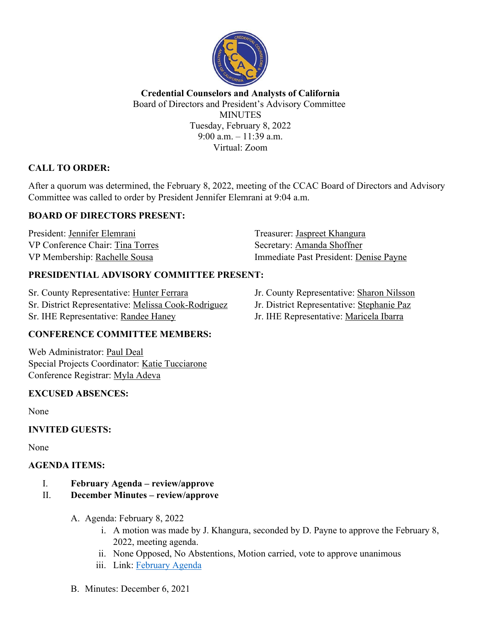

**Credential Counselors and Analysts of California** Board of Directors and President's Advisory Committee **MINUTES** Tuesday, February 8, 2022 9:00 a.m. – 11:39 a.m. Virtual: Zoom

# **CALL TO ORDER:**

After a quorum was determined, the February 8, 2022, meeting of the CCAC Board of Directors and Advisory Committee was called to order by President Jennifer Elemrani at 9:04 a.m.

# **BOARD OF DIRECTORS PRESENT:**

President: Jennifer Elemrani Treasurer: Jaspreet Khangura VP Conference Chair: Tina Torres Secretary: Amanda Shoffner

VP Membership: Rachelle Sousa Immediate Past President: Denise Payne

## **PRESIDENTIAL ADVISORY COMMITTEE PRESENT:**

Sr. County Representative: Hunter Ferrara Jr. County Representative: Sharon Nilsson Sr. District Representative: Melissa Cook-Rodriguez Jr. District Representative: Stephanie Paz Sr. IHE Representative: Randee Haney Jr. IHE Representative: Maricela Ibarra

## **CONFERENCE COMMITTEE MEMBERS:**

Web Administrator: Paul Deal Special Projects Coordinator: Katie Tucciarone Conference Registrar: Myla Adeva

## **EXCUSED ABSENCES:**

None

## **INVITED GUESTS:**

None

## **AGENDA ITEMS:**

- I. **February Agenda – review/approve**
- II. **December Minutes – review/approve**
	- A. Agenda: February 8, 2022
		- i. A motion was made by J. Khangura, seconded by D. Payne to approve the February 8, 2022, meeting agenda.
		- ii. None Opposed, No Abstentions, Motion carried, vote to approve unanimous
		- iii. Link: February Agenda
	- B. Minutes: December 6, 2021
- 
- 
-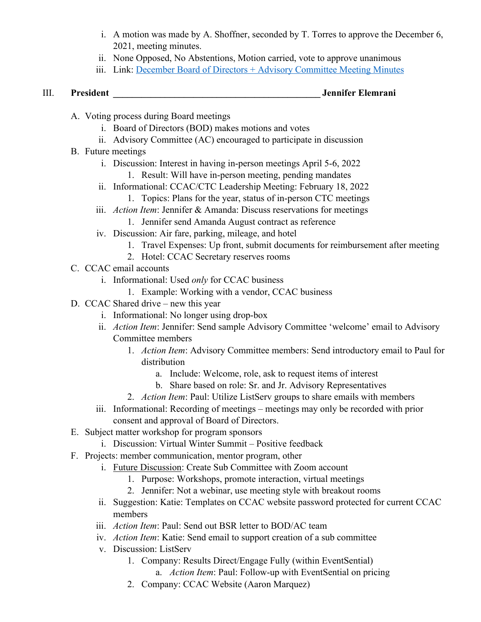- i. A motion was made by A. Shoffner, seconded by T. Torres to approve the December 6, 2021, meeting minutes.
- ii. None Opposed, No Abstentions, Motion carried, vote to approve unanimous
- iii. Link: December Board of Directors + Advisory Committee Meeting Minutes

III. **President \_\_\_\_\_\_\_\_\_\_\_\_\_\_\_\_\_\_\_\_\_\_\_\_\_\_\_\_\_\_\_\_\_\_\_\_\_\_\_\_\_\_\_\_ Jennifer Elemrani**

- A. Voting process during Board meetings
	- i. Board of Directors (BOD) makes motions and votes
	- ii. Advisory Committee (AC) encouraged to participate in discussion
- B. Future meetings
	- i. Discussion: Interest in having in-person meetings April 5-6, 2022
		- 1. Result: Will have in-person meeting, pending mandates
	- ii. Informational: CCAC/CTC Leadership Meeting: February 18, 2022
		- 1. Topics: Plans for the year, status of in-person CTC meetings
	- iii. *Action Item*: Jennifer & Amanda: Discuss reservations for meetings
		- 1. Jennifer send Amanda August contract as reference
	- iv. Discussion: Air fare, parking, mileage, and hotel
		- 1. Travel Expenses: Up front, submit documents for reimbursement after meeting
		- 2. Hotel: CCAC Secretary reserves rooms
- C. CCAC email accounts
	- i. Informational: Used *only* for CCAC business
		- 1. Example: Working with a vendor, CCAC business
- D. CCAC Shared drive new this year
	- i. Informational: No longer using drop-box
	- ii. *Action Item*: Jennifer: Send sample Advisory Committee 'welcome' email to Advisory Committee members
		- 1. *Action Item*: Advisory Committee members: Send introductory email to Paul for distribution
			- a. Include: Welcome, role, ask to request items of interest
			- b. Share based on role: Sr. and Jr. Advisory Representatives
		- 2. *Action Item*: Paul: Utilize ListServ groups to share emails with members
	- iii. Informational: Recording of meetings meetings may only be recorded with prior consent and approval of Board of Directors.
- E. Subject matter workshop for program sponsors
	- i. Discussion: Virtual Winter Summit Positive feedback
- F. Projects: member communication, mentor program, other
	- i. Future Discussion: Create Sub Committee with Zoom account
		- 1. Purpose: Workshops, promote interaction, virtual meetings
		- 2. Jennifer: Not a webinar, use meeting style with breakout rooms
	- ii. Suggestion: Katie: Templates on CCAC website password protected for current CCAC members
	- iii. *Action Item*: Paul: Send out BSR letter to BOD/AC team
	- iv. *Action Item*: Katie: Send email to support creation of a sub committee
	- v. Discussion: ListServ
		- 1. Company: Results Direct/Engage Fully (within EventSential) a. *Action Item*: Paul: Follow-up with EventSential on pricing
		- 2. Company: CCAC Website (Aaron Marquez)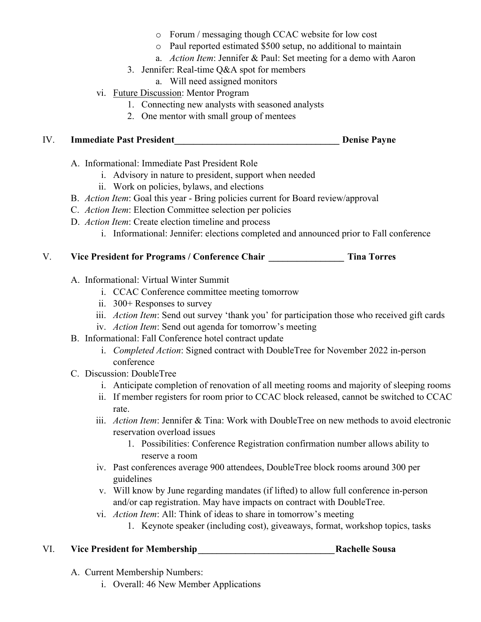- o Forum / messaging though CCAC website for low cost
- o Paul reported estimated \$500 setup, no additional to maintain
- a. *Action Item*: Jennifer & Paul: Set meeting for a demo with Aaron
- 3. Jennifer: Real-time Q&A spot for members
	- a. Will need assigned monitors
- vi. Future Discussion: Mentor Program
	- 1. Connecting new analysts with seasoned analysts
	- 2. One mentor with small group of mentees

## IV. **Immediate Past President\_\_\_\_\_\_\_\_\_\_\_\_\_\_\_\_\_\_\_\_\_\_\_\_\_\_\_\_\_\_\_\_\_\_\_ Denise Payne**

- A. Informational: Immediate Past President Role
	- i. Advisory in nature to president, support when needed
	- ii. Work on policies, bylaws, and elections
- B. *Action Item*: Goal this year Bring policies current for Board review/approval
- C. *Action Item*: Election Committee selection per policies
- D. *Action Item*: Create election timeline and process
	- i. Informational: Jennifer: elections completed and announced prior to Fall conference

# V. **Vice President for Programs / Conference Chair \_\_\_\_\_\_\_\_\_\_\_\_\_\_\_\_ Tina Torres**

- A. Informational: Virtual Winter Summit
	- i. CCAC Conference committee meeting tomorrow
	- ii. 300+ Responses to survey
	- iii. *Action Item*: Send out survey 'thank you' for participation those who received gift cards
	- iv. *Action Item*: Send out agenda for tomorrow's meeting
- B. Informational: Fall Conference hotel contract update
	- i. *Completed Action*: Signed contract with DoubleTree for November 2022 in-person conference
- C. Discussion: DoubleTree
	- i. Anticipate completion of renovation of all meeting rooms and majority of sleeping rooms
	- ii. If member registers for room prior to CCAC block released, cannot be switched to CCAC rate.
	- iii. *Action Item*: Jennifer & Tina: Work with DoubleTree on new methods to avoid electronic reservation overload issues
		- 1. Possibilities: Conference Registration confirmation number allows ability to reserve a room
	- iv. Past conferences average 900 attendees, DoubleTree block rooms around 300 per guidelines
	- v. Will know by June regarding mandates (if lifted) to allow full conference in-person and/or cap registration. May have impacts on contract with DoubleTree.
	- vi. *Action Item*: All: Think of ideas to share in tomorrow's meeting
		- 1. Keynote speaker (including cost), giveaways, format, workshop topics, tasks

# VI. **Vice President for Membership\_\_\_\_\_\_\_\_\_\_\_\_\_\_\_\_\_\_\_\_\_\_\_\_\_\_\_\_\_Rachelle Sousa**

- A. Current Membership Numbers:
	- i. Overall: 46 New Member Applications